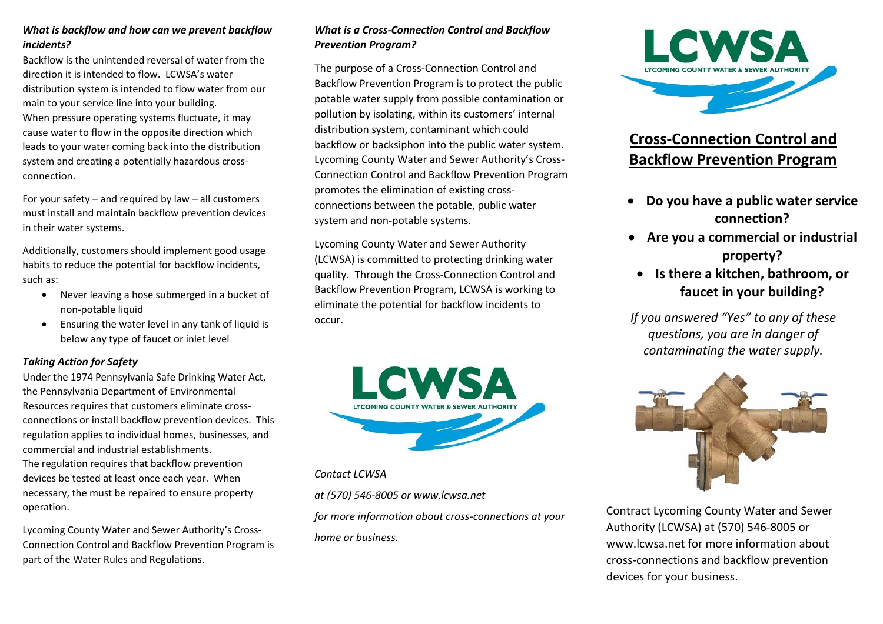# *What is backflow and how can we prevent backflow incidents?*

Backflow is the unintended reversal of water from the direction it is intended to flow. LCWSA's water distribution system is intended to flow water from our main to your service line into your building. When pressure operating systems fluctuate, it may cause water to flow in the opposite direction which leads to your water coming back into the distribution system and creating a potentially hazardous crossconnection.

For your safety – and required by law – all customers must install and maintain backflow prevention devices in their water systems.

Additionally, customers should implement good usage habits to reduce the potential for backflow incidents, such as:

- Never leaving a hose submerged in a bucket of non-potable liquid
- Ensuring the water level in any tank of liquid is below any type of faucet or inlet level

## *Taking Action for Safety*

Under the 1974 Pennsylvania Safe Drinking Water Act, the Pennsylvania Department of Environmental Resources requires that customers eliminate crossconnections or install backflow prevention devices. This regulation applies to individual homes, businesses, and commercial and industrial establishments. The regulation requires that backflow prevention devices be tested at least once each year. When necessary, the must be repaired to ensure property operation.

Lycoming County Water and Sewer Authority's Cross-Connection Control and Backflow Prevention Program is part of the Water Rules and Regulations.

# *What is a Cross-Connection Control and Backflow Prevention Program?*

The purpose of a Cross-Connection Control and Backflow Prevention Program is to protect the public potable water supply from possible contamination or pollution by isolating, within its customers' internal distribution system, contaminant which could backflow or backsiphon into the public water system. Lycoming County Water and Sewer Authority's Cross-Connection Control and Backflow Prevention Program promotes the elimination of existing crossconnections between the potable, public water system and non-potable systems.

Lycoming County Water and Sewer Authority (LCWSA) is committed to protecting drinking water quality. Through the Cross-Connection Control and Backflow Prevention Program, LCWSA is working to eliminate the potential for backflow incidents to occur.



# *Contact LCWSA*

*at (570) 546-8005 or www.lcwsa.net* 

*for more information about cross-connections at your home or business.*



# **Cross-Connection Control and Backflow Prevention Program**

- **Do you have a public water service connection?**
- **Are you a commercial or industrial property?**
- **Is there a kitchen, bathroom, or faucet in your building?**
- *If you answered "Yes" to any of these questions, you are in danger of contaminating the water supply.*



Contract Lycoming County Water and Sewer Authority (LCWSA) at (570) 546-8005 or www.lcwsa.net for more information about cross-connections and backflow prevention devices for your business.